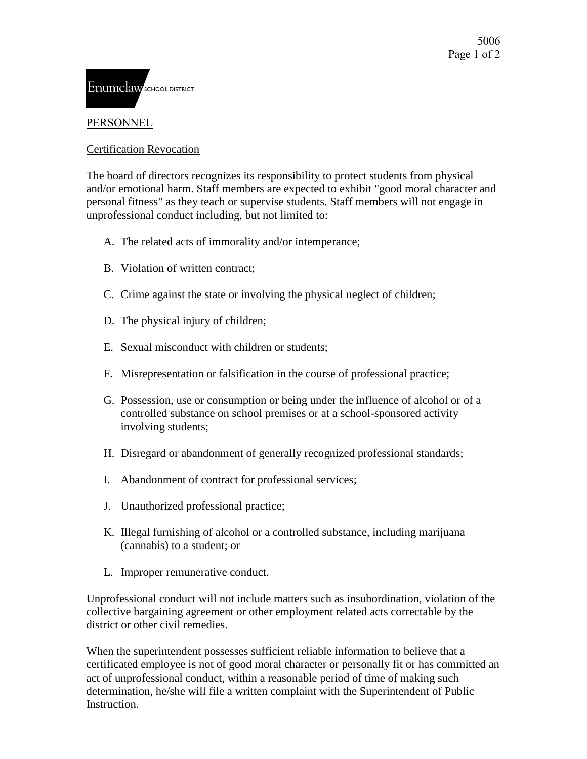

## PERSONNEL

## Certification Revocation

The board of directors recognizes its responsibility to protect students from physical and/or emotional harm. Staff members are expected to exhibit "good moral character and personal fitness" as they teach or supervise students. Staff members will not engage in unprofessional conduct including, but not limited to:

- A. The related acts of immorality and/or intemperance;
- B. Violation of written contract;
- C. Crime against the state or involving the physical neglect of children;
- D. The physical injury of children;
- E. Sexual misconduct with children or students;
- F. Misrepresentation or falsification in the course of professional practice;
- G. Possession, use or consumption or being under the influence of alcohol or of a controlled substance on school premises or at a school-sponsored activity involving students;
- H. Disregard or abandonment of generally recognized professional standards;
- I. Abandonment of contract for professional services;
- J. Unauthorized professional practice;
- K. Illegal furnishing of alcohol or a controlled substance, including marijuana (cannabis) to a student; or
- L. Improper remunerative conduct.

Unprofessional conduct will not include matters such as insubordination, violation of the collective bargaining agreement or other employment related acts correctable by the district or other civil remedies.

When the superintendent possesses sufficient reliable information to believe that a certificated employee is not of good moral character or personally fit or has committed an act of unprofessional conduct, within a reasonable period of time of making such determination, he/she will file a written complaint with the Superintendent of Public **Instruction**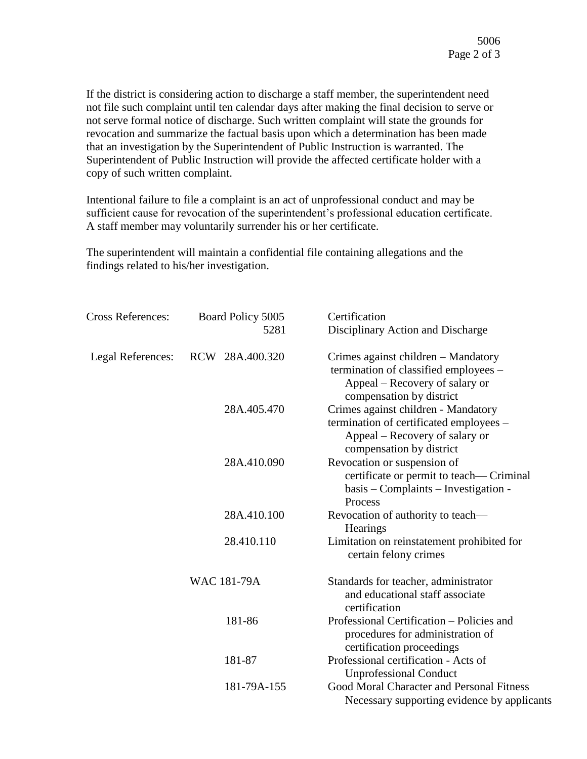If the district is considering action to discharge a staff member, the superintendent need not file such complaint until ten calendar days after making the final decision to serve or not serve formal notice of discharge. Such written complaint will state the grounds for revocation and summarize the factual basis upon which a determination has been made that an investigation by the Superintendent of Public Instruction is warranted. The Superintendent of Public Instruction will provide the affected certificate holder with a copy of such written complaint.

Intentional failure to file a complaint is an act of unprofessional conduct and may be sufficient cause for revocation of the superintendent's professional education certificate. A staff member may voluntarily surrender his or her certificate.

The superintendent will maintain a confidential file containing allegations and the findings related to his/her investigation.

| <b>Cross References:</b> | Board Policy 5005<br>5281 | Certification                                                                                                                                |
|--------------------------|---------------------------|----------------------------------------------------------------------------------------------------------------------------------------------|
|                          |                           | Disciplinary Action and Discharge                                                                                                            |
| Legal References:        | RCW 28A.400.320           | Crimes against children – Mandatory<br>termination of classified employees -<br>Appeal – Recovery of salary or<br>compensation by district   |
|                          | 28A.405.470               | Crimes against children - Mandatory<br>termination of certificated employees -<br>Appeal – Recovery of salary or<br>compensation by district |
|                          | 28A.410.090               | Revocation or suspension of<br>certificate or permit to teach— Criminal<br>basis – Complaints – Investigation -<br>Process                   |
|                          | 28A.410.100               | Revocation of authority to teach—<br><b>Hearings</b>                                                                                         |
|                          | 28.410.110                | Limitation on reinstatement prohibited for<br>certain felony crimes                                                                          |
|                          | <b>WAC 181-79A</b>        | Standards for teacher, administrator<br>and educational staff associate<br>certification                                                     |
|                          | 181-86                    | Professional Certification – Policies and<br>procedures for administration of<br>certification proceedings                                   |
|                          | 181-87                    | Professional certification - Acts of<br><b>Unprofessional Conduct</b>                                                                        |
|                          | 181-79A-155               | Good Moral Character and Personal Fitness<br>Necessary supporting evidence by applicants                                                     |